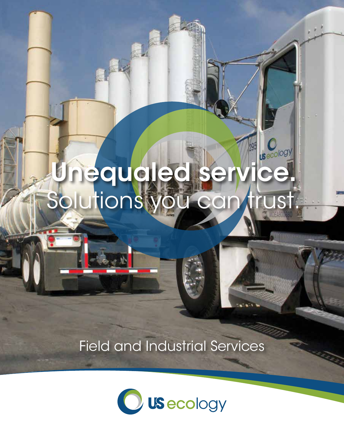## Unequaled se Solutions you can trust.

**US**ecology

图,

Field and Industrial Services

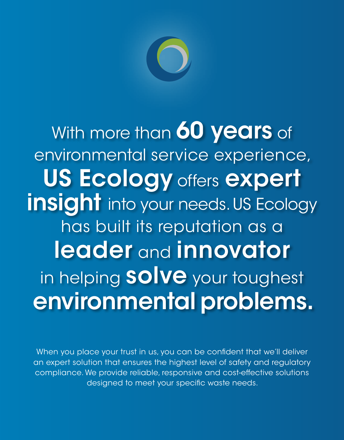

With more than 60 years of environmental service experience, US Ecology offers expert insight into your needs. US Ecology has built its reputation as a leader and innovator in helping **SOIVe** your toughest environmental problems.

When you place your trust in us, you can be confident that we'll deliver an expert solution that ensures the highest level of safety and regulatory compliance. We provide reliable, responsive and cost-effective solutions designed to meet your specific waste needs.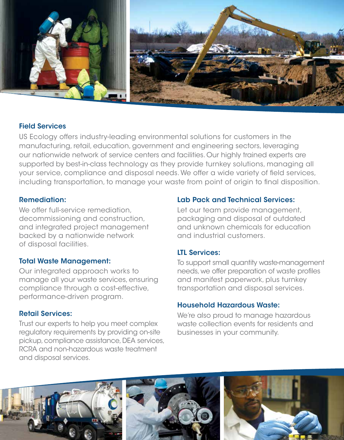

#### Field Services

US Ecology offers industry-leading environmental solutions for customers in the manufacturing, retail, education, government and engineering sectors, leveraging our nationwide network of service centers and facilities. Our highly trained experts are supported by best-in-class technology as they provide turnkey solutions, managing all your service, compliance and disposal needs. We offer a wide variety of field services, including transportation, to manage your waste from point of origin to final disposition.

#### Remediation:

We offer full-service remediation. decommissioning and construction, and integrated project management backed by a nationwide network of disposal facilities.

#### Total Waste Management:

Our integrated approach works to manage all your waste services, ensuring compliance through a cost-effective, performance-driven program.

#### Retail Services:

Trust our experts to help you meet complex regulatory requirements by providing on-site pickup, compliance assistance, DEA services, RCRA and non-hazardous waste treatment and disposal services.

#### Lab Pack and Technical Services:

Let our team provide management, packaging and disposal of outdated and unknown chemicals for education and industrial customers.

#### LTL Services:

To support small quantity waste-management needs, we offer preparation of waste profiles and manifest paperwork, plus turnkey transportation and disposal services.

#### Household Hazardous Waste:

We're also proud to manage hazardous waste collection events for residents and businesses in your community.

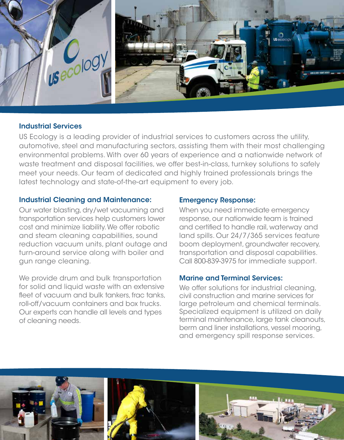

#### Industrial Services

US Ecology is a leading provider of industrial services to customers across the utility, automotive, steel and manufacturing sectors, assisting them with their most challenging environmental problems. With over 60 years of experience and a nationwide network of waste treatment and disposal facilities, we offer best-in-class, turnkey solutions to safely meet your needs. Our team of dedicated and highly trained professionals brings the latest technology and state-of-the-art equipment to every job.

#### Industrial Cleaning and Maintenance:

Our water blasting, dry/wet vacuuming and transportation services help customers lower cost and minimize liability. We offer robotic and steam cleaning capabilities, sound reduction vacuum units, plant outage and turn-around service along with boiler and gun range cleaning.

We provide drum and bulk transportation for solid and liquid waste with an extensive fleet of vacuum and bulk tankers, frac tanks, roll-off/vacuum containers and box trucks. Our experts can handle all levels and types of cleaning needs.

#### Emergency Response:

When you need immediate emergency response, our nationwide team is trained and certified to handle rail, waterway and land spills. Our 24/7/365 services feature boom deployment, groundwater recovery, transportation and disposal capabilities. Call 800-839-3975 for immediate support.

#### Marine and Terminal Services:

We offer solutions for industrial cleaning, civil construction and marine services for large petroleum and chemical terminals. Specialized equipment is utilized on daily terminal maintenance, large tank cleanouts, berm and liner installations, vessel mooring, and emergency spill response services.